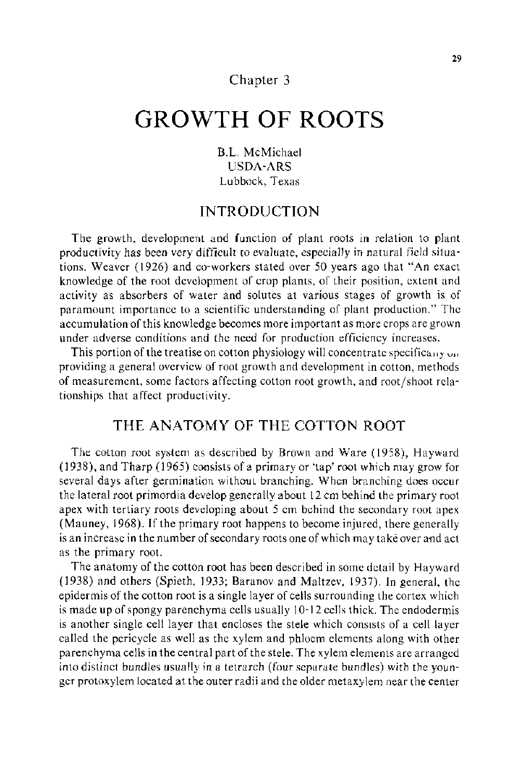# Chapter 3

# **GROWTH OF ROOTS**

**B.L** McMichael USDA-ARS Lubbock, Texas

## **INTRODUCTION**

The growth, development and function of plant roots in relation to plant productivity has been very difficult to evaluate, especially in natural field situations. Weaver (1926) and co-workers stated over 50 years ago that "An exact knowledge of the root development of crop plants, of their position, extent and activity as absorbers of water and solutes at various stages of growth is of paramount importance to a scientific understanding of plant production." The accumulation of this knowledge becomes more important as more crops are grown under adverse conditions and the need for production efficiency increases.

This portion of the treatise on cotton physiology will concentrate specifically  $\omega_0$ . providing a general overview of root growth and development in cotton, methods of measurement, some factors affecting cotton root growth, and root/shoot relationships that affect productivity.

# **THE ANATOMY OF THE COTTON ROOT**

The cotton root system as described by Brown and Ware (1958), Hayward (1938), and Tharp (1965) consists of a primary or 'tap' root which may grow for several days after germination without branching. When branching does occur the lateral root primordia develop generally about 12 em behind the primary root apex with tertiary roots developing about 5 em behind the secondary root apex (Mauney, 1968). If the primary root happens to become injured, there generally is an increase in the number of secondary roots one of which may take over and act as the primary root.

The anatomy of the cotton root has been described in some detail by Hayward (1938) and others (Spieth, 1933; Baranov and Maltzev, 1937). In general, the epidermis of the cotton root is a single layer of cells surrounding the cortex which is made **up** of spongy parenchyma cells usually I 0-12 cells thick. The endodermis is another single cell layer that encloses the stele which consists of a cell layer called the pericycle as well as the xylem and phloem elements along with other parenchyma cells in the central part of the stele. The xylem elements are arranged into distinct bundles usually in a tetrarch (four separate bundles) with the younger protoxylem located at the outer radii and the older metaxylem near the center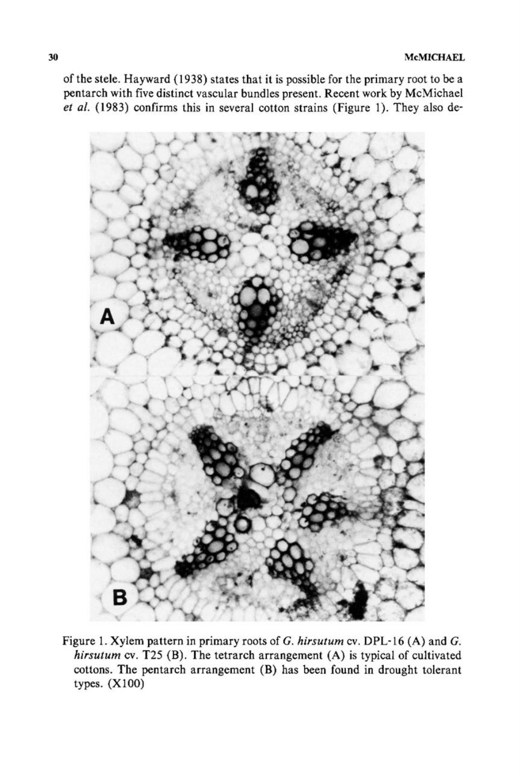of the stele. Hayward (1938) states that it is possible for the primary root to be a pentarch with five distinct vascular bundles present. Recent work by McMichael *et al.* (1983) confirms this in several cotton strains (Figure 1). They also de-



Figure 1. Xylem pattern in primary roots of *G. hirsutum* cv. DPL-16 (A) and *G. hirsutum* cv. T25 (B). The tetrarch arrangement (A) is typical of cultivated cottons. The pentarch arrangement (B) has been found in drought tolerant types. (XlOO)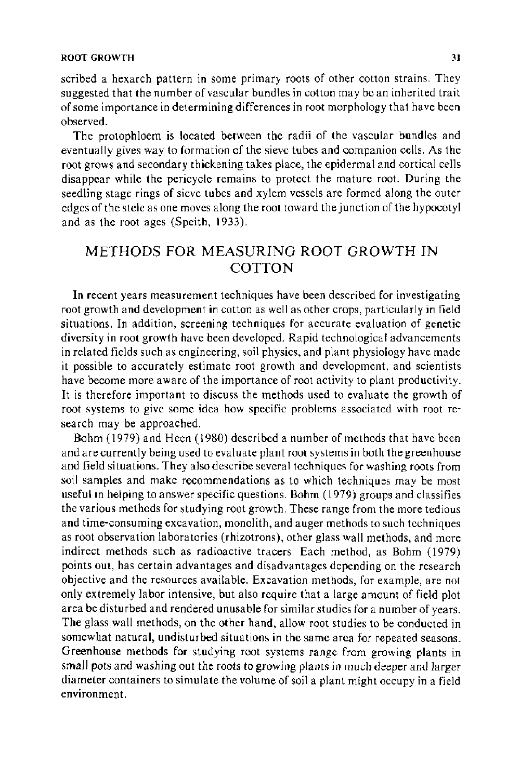scribed a hexarch pattern in some primary roots of other cotton strains. They suggested that the number of vascular bundles in cotton may be an inherited trait of some importance in determining differences in root morphology that have been observed.

The protophloem is located between the radii of the vascular bundles and eventually gives way to formation of the sieve tubes and companion cells. As the root grows and secondary thickening takes place, the epidermal and cortical cells disappear while the pericycle remains to protect the mature root. During the seedling stage rings of sieve tubes and xylem vessels are formed along the outer edges of the stele as one moves along the root toward the junction of the hypocotyl and as the root ages (Speith, 1933).

# METHODS FOR MEASURING ROOT GROWTH IN COTTON

In recent years measurement techniques have been described for investigating root growth and development in cotton as well as other crops, particularly in field situations. In addition, screening techniques for accurate evaluation of genetic diversity in root growth have been developed. Rapid technological advancements in related fields such as engineering, soil physics, and plant physiology have made it possible to accurately estimate root growth and development, and scientists have become more aware of the importance of root activity to plant productivity. It is therefore important to discuss the methods used to evaluate the growth of root systems to give some idea how specific problems associated with root research may be approached.

Bohm ( 1979) and Heen ( 1980) described a number of methods that have been and are currently being used to evaluate plant root systems in both the greenhouse and field situations. They also describe several techniques for washing roots from soil samples and make recommendations as to which techniques may be most useful in helping to answer specific questions. Bohm ( 1979) groups and classifies the various methods for studying root growth. These range from the more tedious and time-consuming excavation, monolith, and auger methods to such techniques as root observation laboratories (rhizotrons), other glass wall methods, and more indirect methods such as radioactive tracers. Each method, as Bohm (1979) points out, has certain advantages and disadvantages depending on the research objective and the resources available. Excavation methods, for example, are not only extremely labor intensive, but also require that a large amount of field plot area be disturbed and rendered unusable for similar studies for a number of years. The glass wall methods, on the other hand, allow root studies to be conducted in somewhat natural, undisturbed situations in the same area for repeated seasons. Greenhouse methods for studying root systems range from growing plants in small pots and washing out the roots to growing plants in much deeper and larger diameter containers to simulate the volume of soil a plant might occupy in a field environment.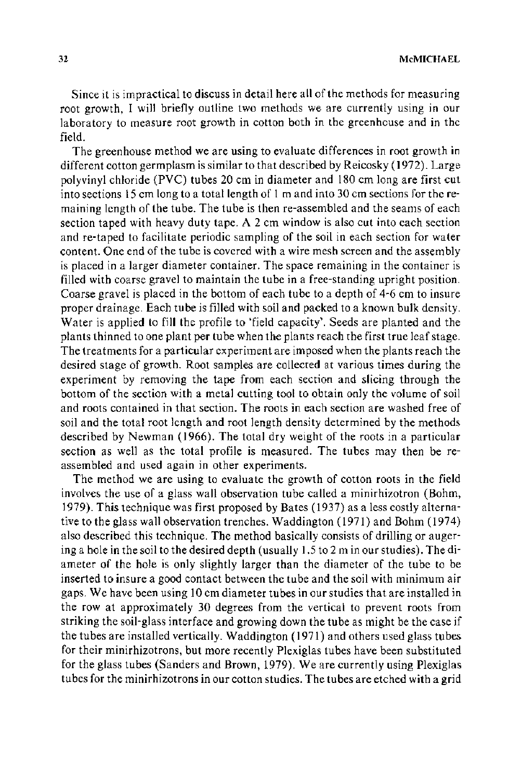Since it is impractical to discuss in detail here all of the methods for measuring root growth, I will briefly outline two methods we are currently using in our laboratory to measure root growth in cotton both in the greenhouse and in the field.

The greenhouse method we are using to evaluate differences in root growth in different cotton germplasm is similar to that described by Reicosky (1972). Large polyvinyl chloride (PVC) tubes 20 em in diameter and 180 em long are first cut into sections 15 em long to a total length of 1 m and into 30 em sections for theremaining length of the tube. The tube is then re-assembled and the seams of each section taped with heavy duty tape. A 2 em window is also cut into each section and re-taped to facilitate periodic sampling of the soil in each section for water content. One end of the tube is covered with a wire mesh screen and the assembly is placed in a larger diameter container. The space remaining in the container is filled with coarse gravel to maintain the tube in a free-standing upright position. Coarse gravel is placed in the bottom of each tube to a depth of 4-6 em to insure proper drainage. Each tube is filled with soil and packed to a known bulk density. Water is applied to fill the profile to 'field capacity'. Seeds are planted and the plants thinned to one plant per tube when the plants reach the first true leaf stage. The treatments for a particular experiment are imposed when the plants reach the desired stage of growth. Root samples are collected at various times during the experiment by removing the tape from each section and slicing through the bottom of the section with a metal cutting tool to obtain only the volume of soil and roots contained in that section. The roots in each section are washed free of soil and the total root length and root length density determined by the methods described by Newman (1966). The total dry weight of the roots in a particular section as well as the total profile is measured. The tubes may then be reassembled and used again in other experiments.

The method we are using to evaluate the growth of cotton roots in the field involves the use of a glass wall observation tube called a minirhizotron (Bohm, 1979). This technique was first proposed by Bates (1937) as a less costly alternative to the glass wall observation trenches. Waddington ( 1971) and Bohm ( 1974) also described this technique. The method basically consists of drilling or augering a hole in the soil to the desired depth (usually 1.5 to 2m in our studies). The diameter of the hole is only slightly larger than the diameter of the tube to be inserted to insure a good contact between the tube and the soil with minimum air gaps. We have been using 10 em diameter tubes in our studies that are installed in the row at approximately 30 degrees from the vertical to prevent roots from striking the soil-glass interface and growing down the tube as might be the case if the tubes are installed vertically. Waddington (1971) and others used glass tubes for their minirhizotrons, but more recently Plexiglas tubes have been substituted for the glass tubes (Sanders and Brown, 1979). We are currently using Plexiglas tubes for the minirhizotrons in our cotton studies. The tubes are etched with a grid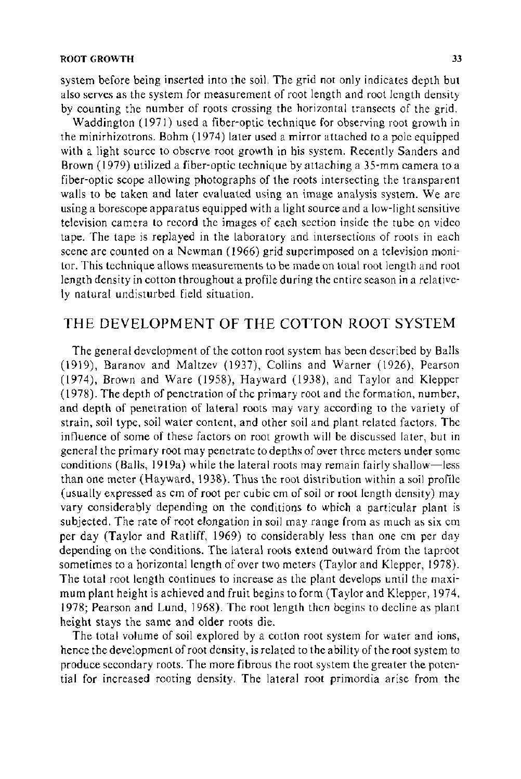system before being inserted into the soil. The grid not only indicates depth but also serves as the system for measurement of root length and root length density by counting the number of roots crossing the horizontal transects of the grid.

Waddington (1971) used a fiber-optic technique for observing root growth in the minirhizotrons. Bohm (1974) later used a mirror attached to a pole equipped with a light source to observe root growth in his system. Recently Sanders and Brown ( 1979) utilized a fiber-optic technique by attaching a 35-mm camera to a fiber-optic scope allowing photographs of the roots intersecting the transparent walls to be taken and later evaluated using an image analysis system. We are using a borescope apparatus equipped with a light source and a low-light sensitive television camera to record the images of each section inside the tube on video tape. The tape is replayed in the laboratory and intersections of roots in each scene are counted on a Newman ( 1966) grid superimposed on a television monitor. This technique atlows measurements to be made on total root length and root length density in cotton throughout a profile during the entire season in a relatively natural undisturbed field situation.

# THE DEVELOPMENT OF THE COTTON ROOT SYSTEM

The general development of the cotton root system has been described by Balls (1919), Baranov and Maltzev (1937), Collins and Warner (1926), Pearson (1974), Brown and Ware (1958), Hayward (1938), and Taylor and Klepper ( 1978). The depth of penetration of the primary root and the formation, number, and depth of penetration of lateral roots may vary according to the variety of strain, soil type, soil water content, and other soil and plant related factors. The influence of some of these factors on root growth will be discussed later, but in general the primary root may penetrate to depths of over three meters under some conditions (Balls, 1919a) while the lateral roots may remain fairly shallow-less than one meter (Hayward, 1938). Thus the root distribution within a soil profile (usually expressed as em of root per cubic em of soil or root length density) may vary considerably depending on the conditions to which a particular plant is subjected. The rate of root elongation in soil may range from as much as six em per day (Taylor and Ratliff, 1969) to considerably less than one em per day depending on the conditions. The lateral roots extend outward from the taproot sometimes to a horizontal length of over two meters (Taylor and Klepper, 1978). The total root length continues to increase as the plant develops until the maximum plant height is achieved and fruit begins to form (Taylor and Klepper, 1974, 1978; Pearson and Lund, 1968). The root length then begins to decline as plant height stays the same and older roots die.

The total volume of soil explored by a cotton root system for water and ions, hence the development of root density, is related to the ability of the root system to produce secondary roots. The more fibrous the root system the greater the potential for increased rooting density. The lateral root primordia arise from the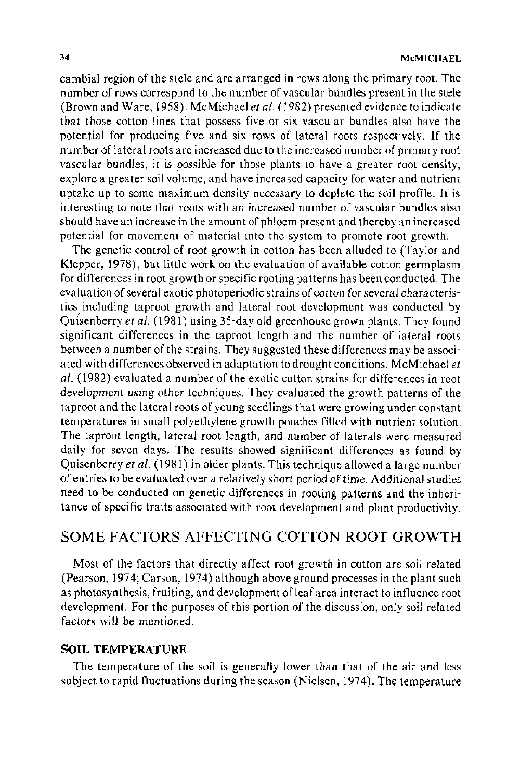cambial region of the stele and are arranged in rows along the primary root. The number of rows correspond to the number of vascular bundles present in the stele (Brown and Ware, 1958). McMichael *eta/.* ( 1982) presented evidence to indicate that those cotton lines that possess five or six vascular bundles also have the potential for producing five and six rows of lateral roots respectively. If the number of lateral roots are increased due to the increased number of primary root vascular bundles, it is possible for those plants to have a greater root density, explore a greater soil volume, and have increased capacity for water and nutrient uptake up to some maximum density necessary to deplete the soil profile. It is interesting to note that roots with an increased number of vascular bundles also should have an increase in the amount of phloem present and thereby an increased potential for movement of material into the system to promote root growth.

The genetic control of root growth in cotton has been alluded to (Taylor and Klepper, 1978), but little work on the evaluation of available cotton germplasm for differences in root growth or specific rooting patterns has been conducted. The evaluation of several exotic photoperiodic strains of cotton for several characteristics including taproot growth and lateral root development was conducted by Quisenberry *eta/.* ( 1981) using 35-day old greenhouse grown plants. They found significant differences in the taproot length and the number of lateral roots between a number of the strains. They suggested these differences may be associated with differences observed in adaptation to drought conditions. McMichael *et al.* ( 1982) evaluated a number of the exotic cotton strains for differences in root development using other techniques. They evaluated the growth patterns of the taproot and the lateral roots of young seedlings that were growing under constant temperatures in small polyethylene growth pouches filled with nutrient solution. The taproot length, lateral root length, and number of laterals were measured daily for seven days. The results showed significant differences as found by Quisenberry *et al.* (1981) in older plants. This technique allowed a large number of entries to be evaluated over a relatively short period of time. Additional studies need to be conducted on genetic differences in rooting patterns and the inheritance of specific traits associated with root development and plant productivity.

# SOME FACTORS AFFECTING COTTON ROOT GROWTH

Most of the factors that directly affect root growth in cotton are soil related (Pearson, 1974; Carson, 1974) although above ground processes in the plant such as photosynthesis, fruiting, and development of leaf area interact to influence root development. For the purposes of this portion of the discussion, only soil related factors will be mentioned.

#### **SOIL TEMPERATURE**

The temperature of the soil is generally lower than that of the air and less subject to rapid fluctuations during the season (Nielsen, 1974). The temperature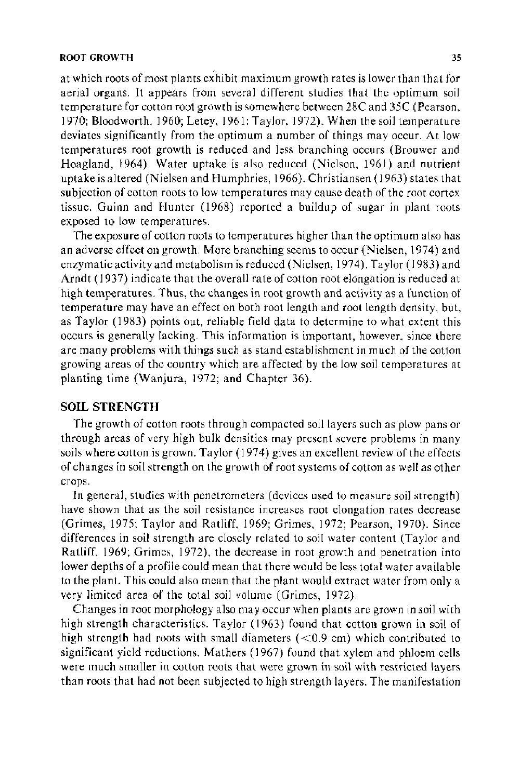at which roots of most plants exhibit maximum growth rates is lower than that for aerial organs. It appears from several different studies that the optimum soil temperature for cotton root growth is somewhere between 28C and 35C (Pearson, 1970; Bloodworth, 1960; Letey, 1961; Taylor, 1972). When the soil temperature deviates significantly from the optimum a number of things may occur. At low temperatures root growth is reduced and less branching occurs (Brouwer and Hoagland, 1964). Water uptake is also reduced (Nielson, 1961) and nutrient uptake is altered (Nielsen and Humphries, 1966). Christiansen (1963) states that subjection of cotton roots to low temperatures may cause death of the root cortex tissue. Guinn and Hunter (1968) reported a buildup of sugar in plant roots exposed to low temperatures.

The exposure of cotton roots to temperatures higher than the optimum also has an adverse effect on growth. More branching seems to occur (Nielsen, 1974) and enzymatic activity and metabolism is reduced (Nielsen, 1974). Taylor (1983) and Arndt ( 1937) indicate that the overall rate of cotton root elongation is reduced at high temperatures. Thus, the changes in root growth and activity as a function of temperature may have an effect on both root length and root length density, but, as Taylor (1983) points out, reliable field data to determine to what extent this occurs is generally lacking. This information is important, however, since there are many problems with things such as stand establishment in much of the cotton growing areas of the country which are affected by the low soil temperatures at planting time (Wanjura, 1972; and Chapter 36).

## **SOIL STRENGTH**

The growth of cotton roots through compacted soil layers such as plow pans or through areas of very high bulk densities may present severe problems in many soils where cotton is grown. Taylor ( 1974) gives an excellent review of the effects of changes in soil strength on the growth of root systems of cotton as well as other crops.

In general, studies with penetrometers (devices used to measure soil strength) have shown that as the soil resistance increases root elongation rates decrease (Grimes, 1975; Taylor and Ratliff, 1969; Grimes, 1972; Pearson, 1970). Since differences in soil strength are closely related to soil water content (Taylor and Ratliff, 1969; Grimes, 1972), the decrease in root growth and penetration into lower depths of a profile could mean that there would be less total water available to the plant. This could also mean that the plant would extract water from only a very limited area of the total soil volume (Grimes, 1972).

Changes in root morphology also may occur when plants are grown in soil with high strength characteristics. Taylor (1963) found that cotton grown in soil of high strength had roots with small diameters (<0.9 cm) which contributed to significant yield reductions. Mathers (1967) found that xylem and phloem cells were much smaller in cotton roots that were grown in soil with restricted layers than roots that had not been subjected to high strength layers. The manifestation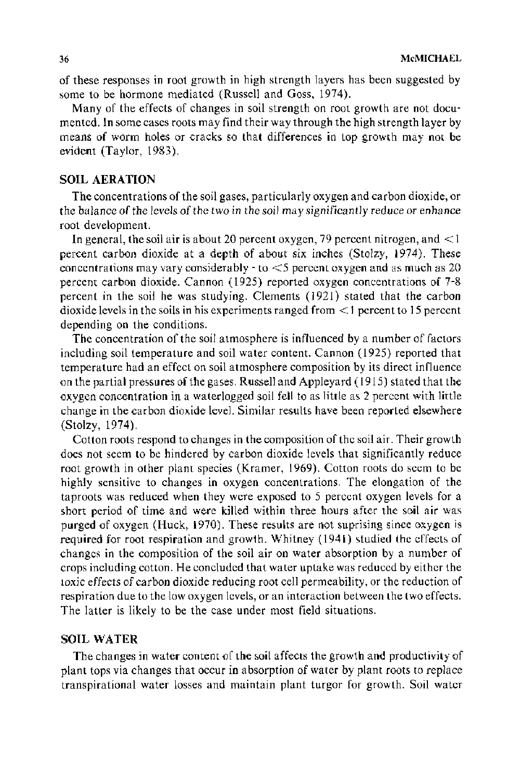of these responses in root growth in high strength layers has been suggested by some to be hormone mediated (Russell and Goss, 1974).

Many of the effects of changes in soil strength on root growth are not documented. In some cases roots may find their way through the high strength layer by means of worm holes or cracks so that differences in top growth may not be evident (Taylor, 1983).

### **SOIL AERATION**

The concentrations of the soil gases, particularly oxygen and carbon dioxide, or the balance of the levels of the two in the soil may significantly reduce or enhance root development.

In general, the soil air is about 20 percent oxygen, 79 percent nitrogen, and  $\leq$ 1 percent carbon dioxide at a depth of about six inches (Stolzy, 1974). These concentrations may vary considerably- to <5 percent oxygen and as much as 20 percent carbon dioxide. Cannon (1925) reported oxygen concentrations of 7-8 percent in the soil he was studying. Clements (1921) stated that the carbon dioxide levels in the soils in his experiments ranged from < 1 percent to 15 percent depending on the conditions.

The concentration of the soil atmosphere is influenced by a number of factors including soil temperature and soil water content. Cannon (1925) reported that temperature had an effect on soil atmosphere composition by its direct influence on the partial pressures of the gases. Russell and Appleyard ( 1915) stated that the oxygen concentration in a waterlogged soil fell to as little as 2 percent with little change in the carbon dioxide level. Similar results have been reported elsewhere (Stolzy, 1974).

Cotton roots respond to changes in the composition of the soil air. Their growth does not seem to be hindered by carbon dioxide levels that significantly reduce root growth in other plant species (Kramer, 1969). Cotton roots do seem to be highly sensitive to changes in oxygen concentrations. The elongation of the taproots was reduced when they were exposed to 5 percent oxygen levels for a short period of time and were killed within three hours after the soil air was purged of oxygen (Huck, 1970). These results are not suprising since oxygen is required for root respiration and growth. Whitney (1941) studied the effects of changes in the composition of the soil air on water absorption by a number of crops including cotton. He concluded that water uptake was reduced by either the toxic effects of carbon dioxide reducing root cell permeability, or the reduction of respiration due to the low oxygen levels, or an interaction between the two effects. The latter is likely to be the case under most field situations.

## **SOIL WATER**

The changes in water content of the soil affects the growth and productivity of plant tops via changes that occur in absorption of water by plant roots to replace transpirational water losses and maintain plant turgor for growth. Soil water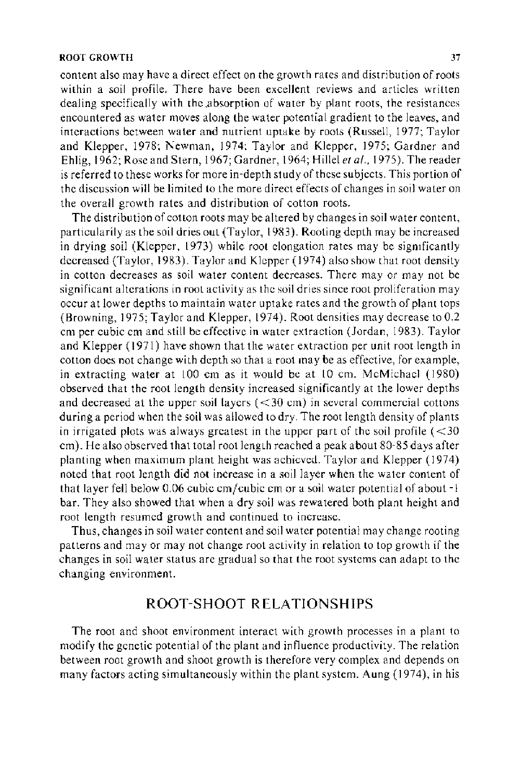content also may have a direct effect on the growth rates and distribution of roots within a soil profile. There have been excellent reviews and articles written dealing specifically with the absorption of water by plant roots, the resistances encountered as water moves along the water potential gradient to the leaves, and interactions between water and nutrient uptake by roots (Russell, 1977; Taylor and Klepper, 1978; Newman, 1974: Taylor and Klepper, 1975; Gardner and Ehlig, 1962; Rose and Stern, 1967; Gardner, 1964; Hillel *eta!.,* 1975). The reader is referred to these works for more in-depth study of these subjects. This portion of the discussion will be limited to the more direct effects of changes in soil water on the overall growth rates and distribution of cotton roots.

The distribution of cotton roots may be altered by changes in soil water content, particularity as the soil dries out (Taylor, 1983). Rooting depth may be increased in drying soil (Klepper, 1973) while root elongation rates may be signtficantly decreased (Taylor, 1983). Taylor and Klepper (1974) also show that root density in cotton decreases as soil water content decreases. There may or may not be significant alterations in root activity as the soil dries since root proliferation may occur at lower depths to maintain water uptake rates and the growth of plant tops (Browning, 1975; Taylor and Klepper, 1974). Root densities may decrease to 0.2 em per cubic em and still be effective in water extraction (Jordan, 1983). Taylor and Klepper ( 1971) have shown that the water extraction per unit root length in cotton does not change with depth so that a root may be as effective, for example, in extracting water at  $100$  cm as it would be at  $10$  cm. McMichael  $(1980)$ observed that the root length density increased significantly at the lower depths and decreased at the upper soil layers  $(<30 \text{ cm})$  in several commercial cottons during a period when the soil was allowed to dry. The root length density of plants in irrigated plots was always greatest in the upper part of the soil profile  $(<$ 30 em). He also observed that total root length reached a peak about 80-85 days after planting when maximum plant height was achieved. Taylor and Klepper (1974) noted that root length did not increase in a soil layer when the water content of that layer fell below 0.06 cubic cm/cubic cm or a soil water potential of about -1 bar. They also showed that when a dry soil was rewatered both plant height and root length resumed growth and continued to increase.

Thus, changes in soil water content and soil water potential may change rooting patterns and may or may not change root activity in relation to top growth if the changes in soil water status are gradual so that the root systems can adapt to the changing environment.

## ROOT-SHOOT RELATIONSHIPS

The root and shoot environment interact with growth processes in a plant to modify the genetic potential of the plant and influence productivity. The relation between root growth and shoot growth is therefore very complex and depends on many factors acting simultaneously within the plant system. Aung (1974), in his